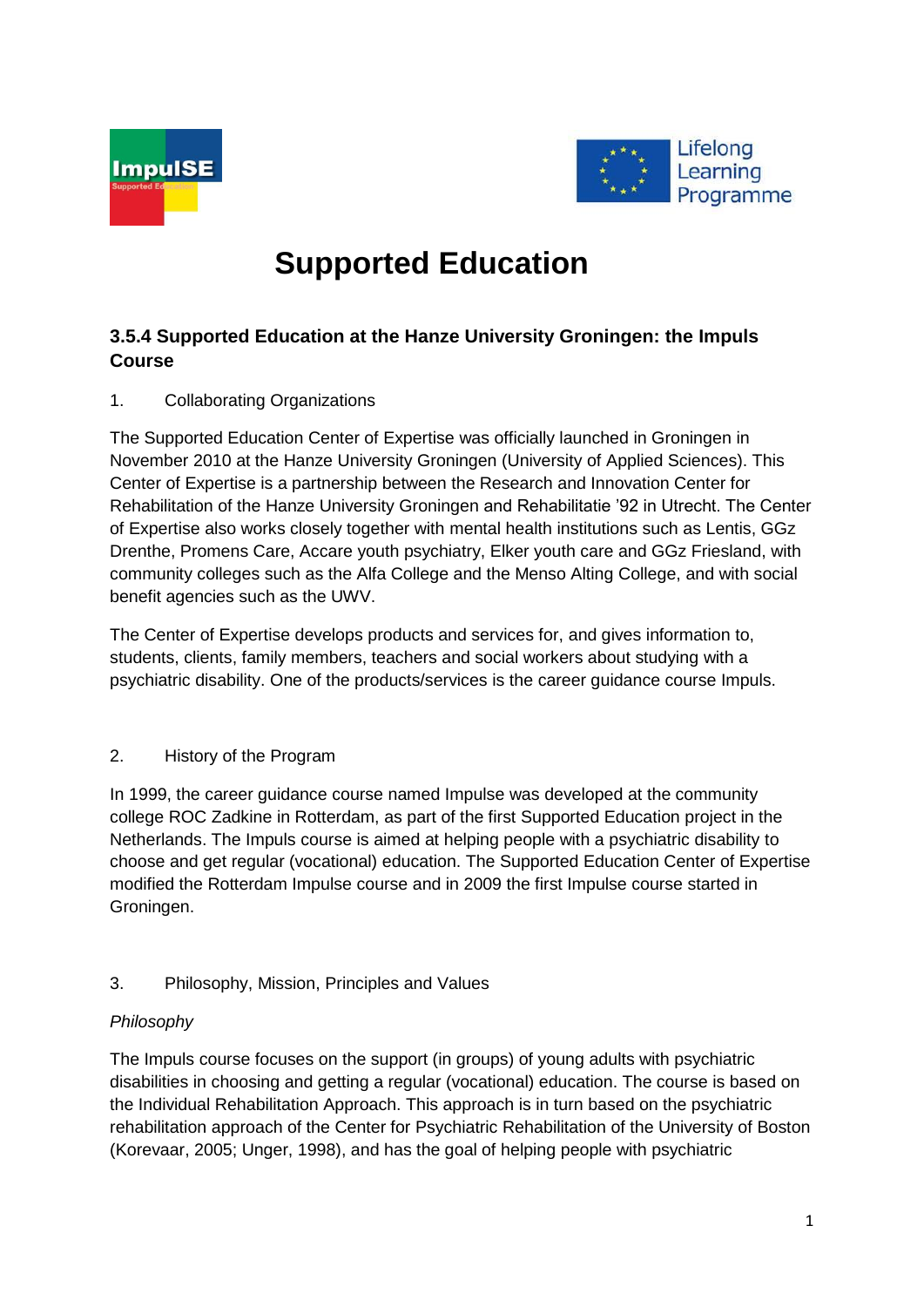



# **Supported Education**

# **3.5.4 Supported Education at the Hanze University Groningen: the Impuls Course**

# 1. Collaborating Organizations

The Supported Education Center of Expertise was officially launched in Groningen in November 2010 at the Hanze University Groningen (University of Applied Sciences). This Center of Expertise is a partnership between the Research and Innovation Center for Rehabilitation of the Hanze University Groningen and Rehabilitatie '92 in Utrecht. The Center of Expertise also works closely together with mental health institutions such as Lentis, GGz Drenthe, Promens Care, Accare youth psychiatry, Elker youth care and GGz Friesland, with community colleges such as the Alfa College and the Menso Alting College, and with social benefit agencies such as the UWV.

The Center of Expertise develops products and services for, and gives information to, students, clients, family members, teachers and social workers about studying with a psychiatric disability. One of the products/services is the career guidance course Impuls.

# 2. History of the Program

In 1999, the career guidance course named Impulse was developed at the community college ROC Zadkine in Rotterdam, as part of the first Supported Education project in the Netherlands. The Impuls course is aimed at helping people with a psychiatric disability to choose and get regular (vocational) education. The Supported Education Center of Expertise modified the Rotterdam Impulse course and in 2009 the first Impulse course started in Groningen.

# 3. Philosophy, Mission, Principles and Values

# *Philosophy*

The Impuls course focuses on the support (in groups) of young adults with psychiatric disabilities in choosing and getting a regular (vocational) education. The course is based on the Individual Rehabilitation Approach. This approach is in turn based on the psychiatric rehabilitation approach of the Center for Psychiatric Rehabilitation of the University of Boston (Korevaar, 2005; Unger, 1998), and has the goal of helping people with psychiatric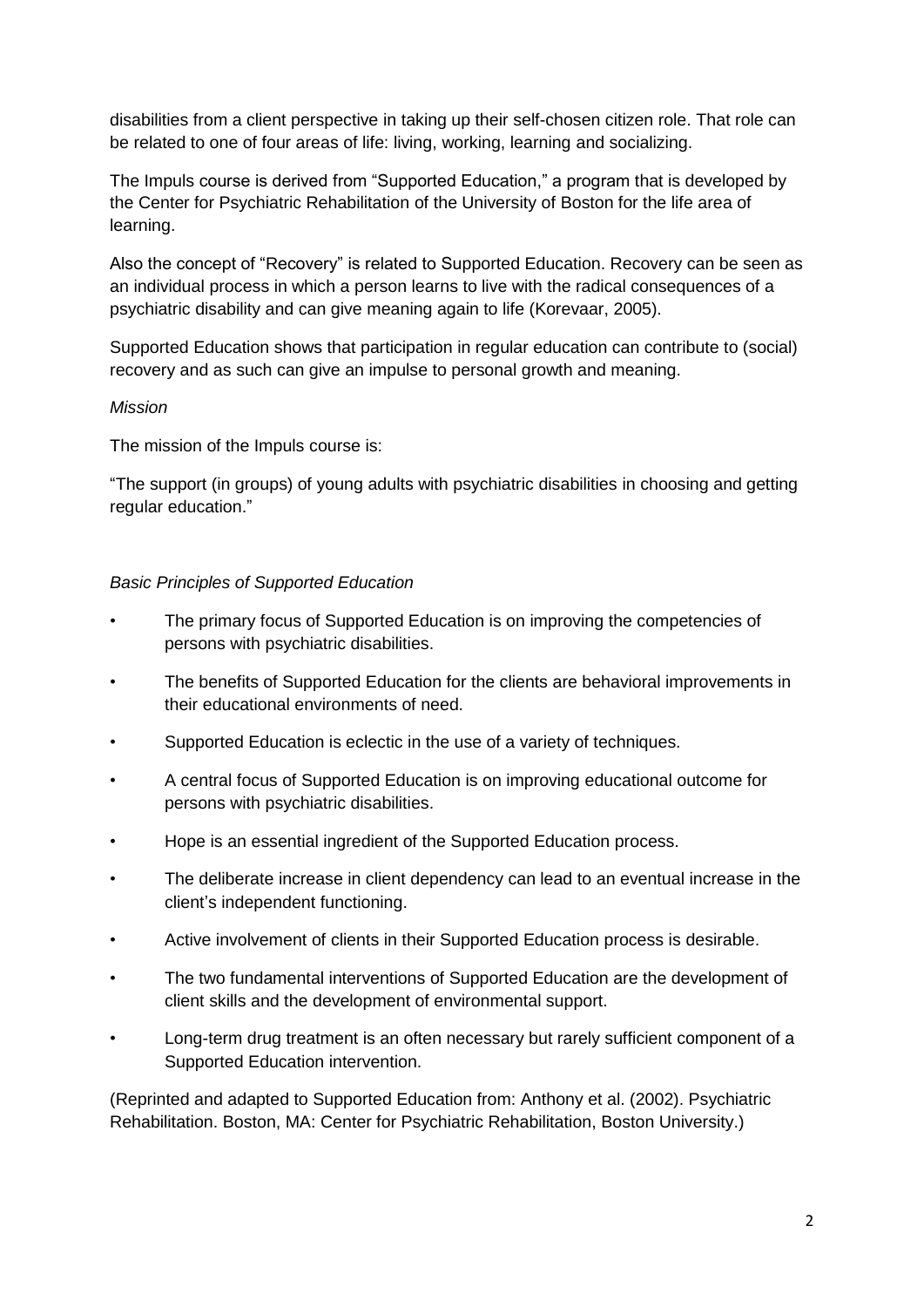disabilities from a client perspective in taking up their self-chosen citizen role. That role can be related to one of four areas of life: living, working, learning and socializing.

The Impuls course is derived from "Supported Education," a program that is developed by the Center for Psychiatric Rehabilitation of the University of Boston for the life area of learning.

Also the concept of "Recovery" is related to Supported Education. Recovery can be seen as an individual process in which a person learns to live with the radical consequences of a psychiatric disability and can give meaning again to life (Korevaar, 2005).

Supported Education shows that participation in regular education can contribute to (social) recovery and as such can give an impulse to personal growth and meaning.

## *Mission*

The mission of the Impuls course is:

"The support (in groups) of young adults with psychiatric disabilities in choosing and getting regular education."

## *Basic Principles of Supported Education*

- The primary focus of Supported Education is on improving the competencies of persons with psychiatric disabilities.
- The benefits of Supported Education for the clients are behavioral improvements in their educational environments of need.
- Supported Education is eclectic in the use of a variety of techniques.
- A central focus of Supported Education is on improving educational outcome for persons with psychiatric disabilities.
- Hope is an essential ingredient of the Supported Education process.
- The deliberate increase in client dependency can lead to an eventual increase in the client's independent functioning.
- Active involvement of clients in their Supported Education process is desirable.
- The two fundamental interventions of Supported Education are the development of client skills and the development of environmental support.
- Long-term drug treatment is an often necessary but rarely sufficient component of a Supported Education intervention.

(Reprinted and adapted to Supported Education from: Anthony et al. (2002). Psychiatric Rehabilitation. Boston, MA: Center for Psychiatric Rehabilitation, Boston University.)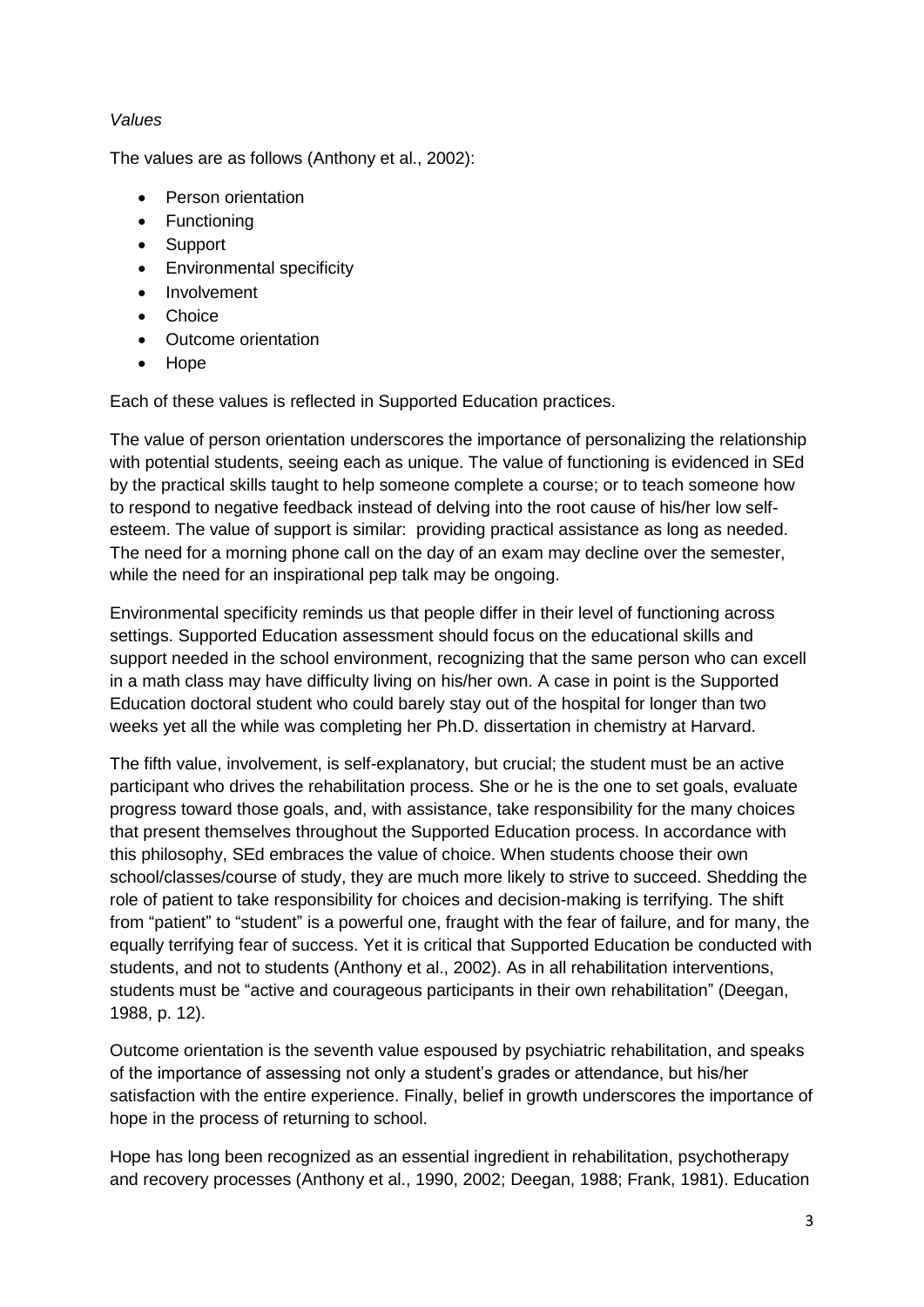# *Values*

The values are as follows (Anthony et al., 2002):

- Person orientation
- Functioning
- Support
- **•** Environmental specificity
- Involvement
- Choice
- Outcome orientation
- Hope

Each of these values is reflected in Supported Education practices.

The value of person orientation underscores the importance of personalizing the relationship with potential students, seeing each as unique. The value of functioning is evidenced in SEd by the practical skills taught to help someone complete a course; or to teach someone how to respond to negative feedback instead of delving into the root cause of his/her low selfesteem. The value of support is similar: providing practical assistance as long as needed. The need for a morning phone call on the day of an exam may decline over the semester, while the need for an inspirational pep talk may be ongoing.

Environmental specificity reminds us that people differ in their level of functioning across settings. Supported Education assessment should focus on the educational skills and support needed in the school environment, recognizing that the same person who can excell in a math class may have difficulty living on his/her own. A case in point is the Supported Education doctoral student who could barely stay out of the hospital for longer than two weeks yet all the while was completing her Ph.D. dissertation in chemistry at Harvard.

The fifth value, involvement, is self-explanatory, but crucial; the student must be an active participant who drives the rehabilitation process. She or he is the one to set goals, evaluate progress toward those goals, and, with assistance, take responsibility for the many choices that present themselves throughout the Supported Education process. In accordance with this philosophy, SEd embraces the value of choice. When students choose their own school/classes/course of study, they are much more likely to strive to succeed. Shedding the role of patient to take responsibility for choices and decision-making is terrifying. The shift from "patient" to "student" is a powerful one, fraught with the fear of failure, and for many, the equally terrifying fear of success. Yet it is critical that Supported Education be conducted with students, and not to students (Anthony et al., 2002). As in all rehabilitation interventions, students must be "active and courageous participants in their own rehabilitation" (Deegan, 1988, p. 12).

Outcome orientation is the seventh value espoused by psychiatric rehabilitation, and speaks of the importance of assessing not only a student's grades or attendance, but his/her satisfaction with the entire experience. Finally, belief in growth underscores the importance of hope in the process of returning to school.

Hope has long been recognized as an essential ingredient in rehabilitation, psychotherapy and recovery processes (Anthony et al., 1990, 2002; Deegan, 1988; Frank, 1981). Education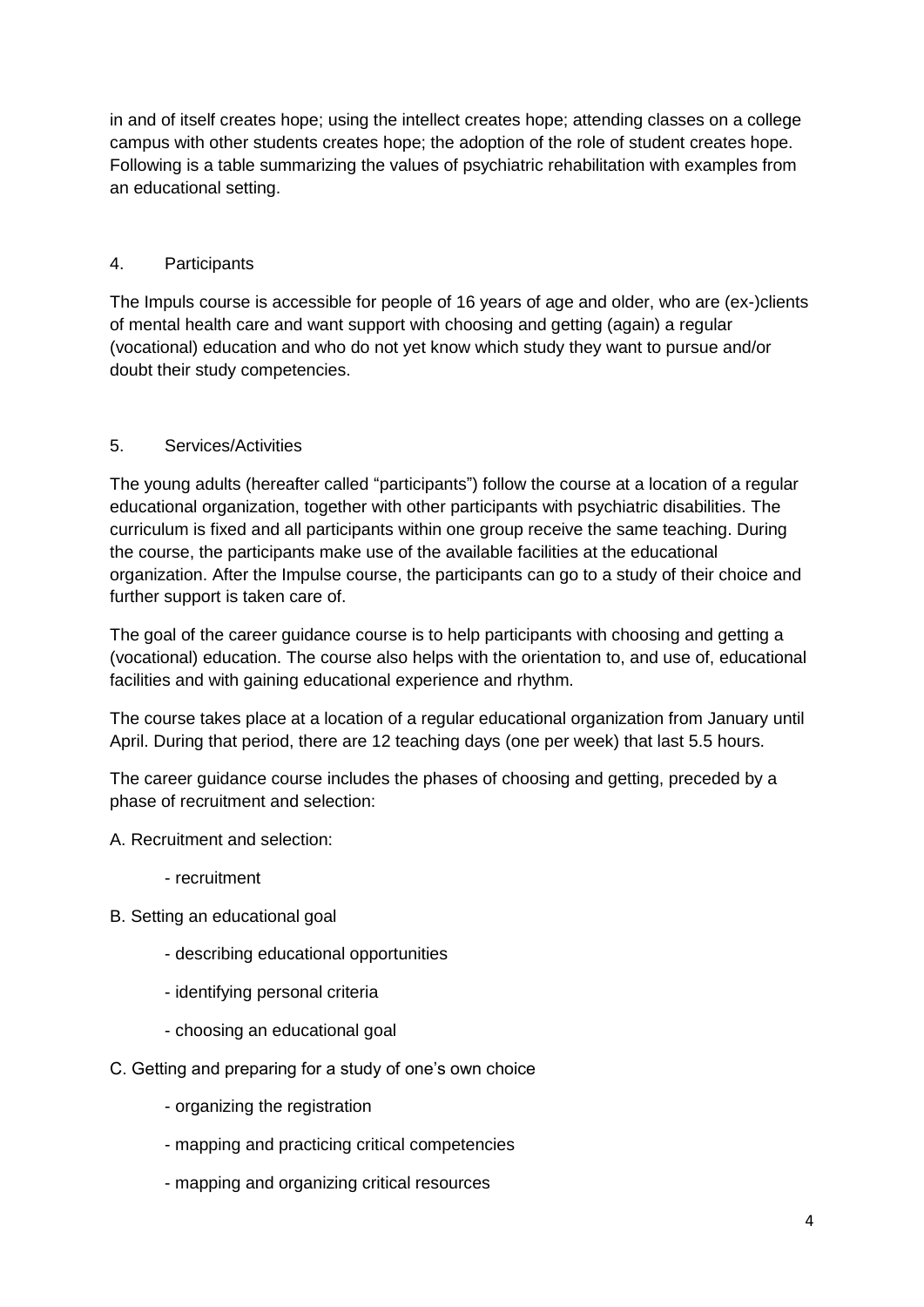in and of itself creates hope; using the intellect creates hope; attending classes on a college campus with other students creates hope; the adoption of the role of student creates hope. Following is a table summarizing the values of psychiatric rehabilitation with examples from an educational setting.

# 4. Participants

The Impuls course is accessible for people of 16 years of age and older, who are (ex-)clients of mental health care and want support with choosing and getting (again) a regular (vocational) education and who do not yet know which study they want to pursue and/or doubt their study competencies.

# 5. Services/Activities

The young adults (hereafter called "participants") follow the course at a location of a regular educational organization, together with other participants with psychiatric disabilities. The curriculum is fixed and all participants within one group receive the same teaching. During the course, the participants make use of the available facilities at the educational organization. After the Impulse course, the participants can go to a study of their choice and further support is taken care of.

The goal of the career guidance course is to help participants with choosing and getting a (vocational) education. The course also helps with the orientation to, and use of, educational facilities and with gaining educational experience and rhythm.

The course takes place at a location of a regular educational organization from January until April. During that period, there are 12 teaching days (one per week) that last 5.5 hours.

The career guidance course includes the phases of choosing and getting, preceded by a phase of recruitment and selection:

A. Recruitment and selection:

- recruitment
- B. Setting an educational goal
	- describing educational opportunities
	- identifying personal criteria
	- choosing an educational goal
- C. Getting and preparing for a study of one's own choice
	- organizing the registration
	- mapping and practicing critical competencies
	- mapping and organizing critical resources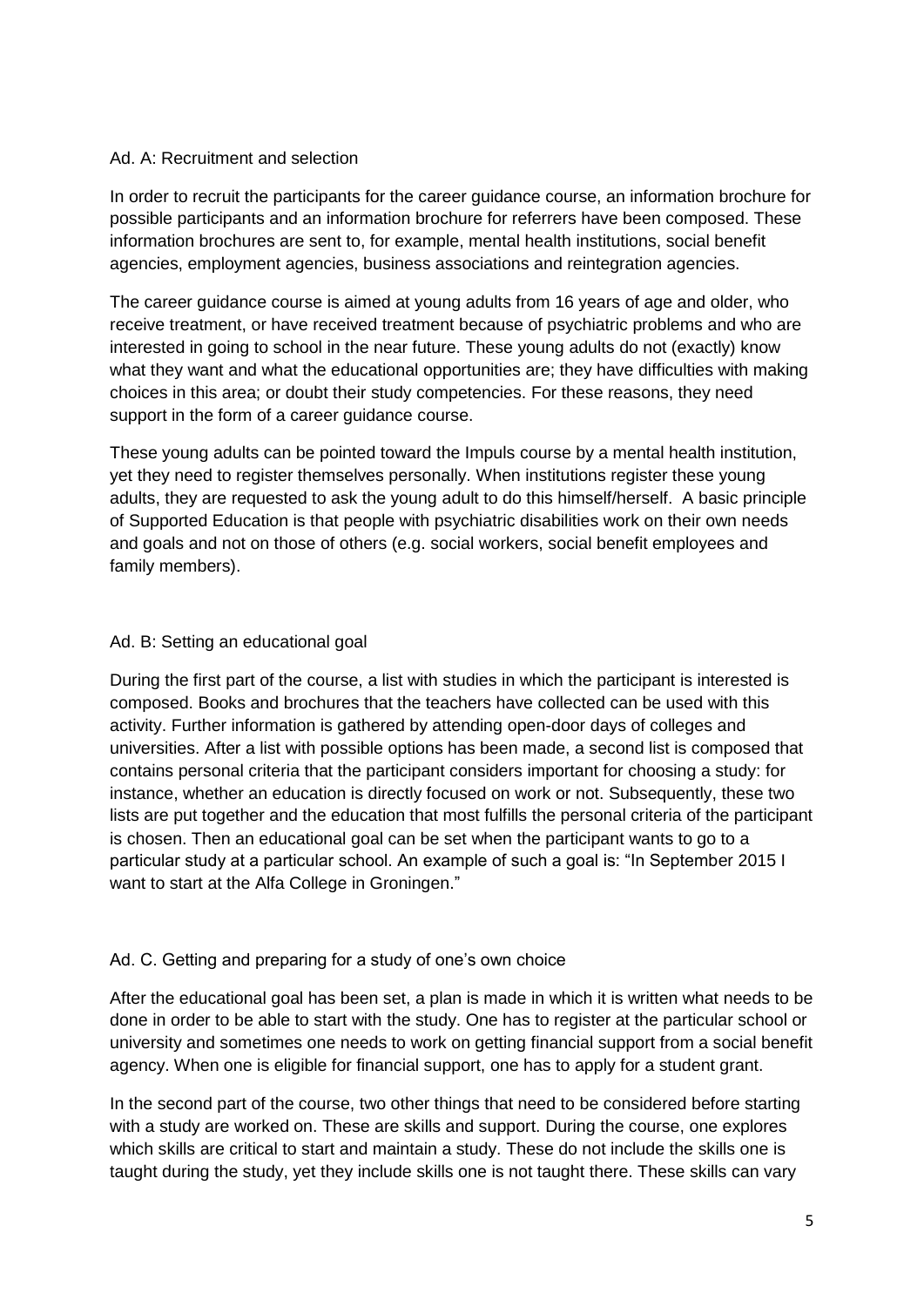## Ad. A: Recruitment and selection

In order to recruit the participants for the career guidance course, an information brochure for possible participants and an information brochure for referrers have been composed. These information brochures are sent to, for example, mental health institutions, social benefit agencies, employment agencies, business associations and reintegration agencies.

The career guidance course is aimed at young adults from 16 years of age and older, who receive treatment, or have received treatment because of psychiatric problems and who are interested in going to school in the near future. These young adults do not (exactly) know what they want and what the educational opportunities are; they have difficulties with making choices in this area; or doubt their study competencies. For these reasons, they need support in the form of a career guidance course.

These young adults can be pointed toward the Impuls course by a mental health institution, yet they need to register themselves personally. When institutions register these young adults, they are requested to ask the young adult to do this himself/herself. A basic principle of Supported Education is that people with psychiatric disabilities work on their own needs and goals and not on those of others (e.g. social workers, social benefit employees and family members).

## Ad. B: Setting an educational goal

During the first part of the course, a list with studies in which the participant is interested is composed. Books and brochures that the teachers have collected can be used with this activity. Further information is gathered by attending open-door days of colleges and universities. After a list with possible options has been made, a second list is composed that contains personal criteria that the participant considers important for choosing a study: for instance, whether an education is directly focused on work or not. Subsequently, these two lists are put together and the education that most fulfills the personal criteria of the participant is chosen. Then an educational goal can be set when the participant wants to go to a particular study at a particular school. An example of such a goal is: "In September 2015 I want to start at the Alfa College in Groningen."

# Ad. C. Getting and preparing for a study of one's own choice

After the educational goal has been set, a plan is made in which it is written what needs to be done in order to be able to start with the study. One has to register at the particular school or university and sometimes one needs to work on getting financial support from a social benefit agency. When one is eligible for financial support, one has to apply for a student grant.

In the second part of the course, two other things that need to be considered before starting with a study are worked on. These are skills and support. During the course, one explores which skills are critical to start and maintain a study. These do not include the skills one is taught during the study, yet they include skills one is not taught there. These skills can vary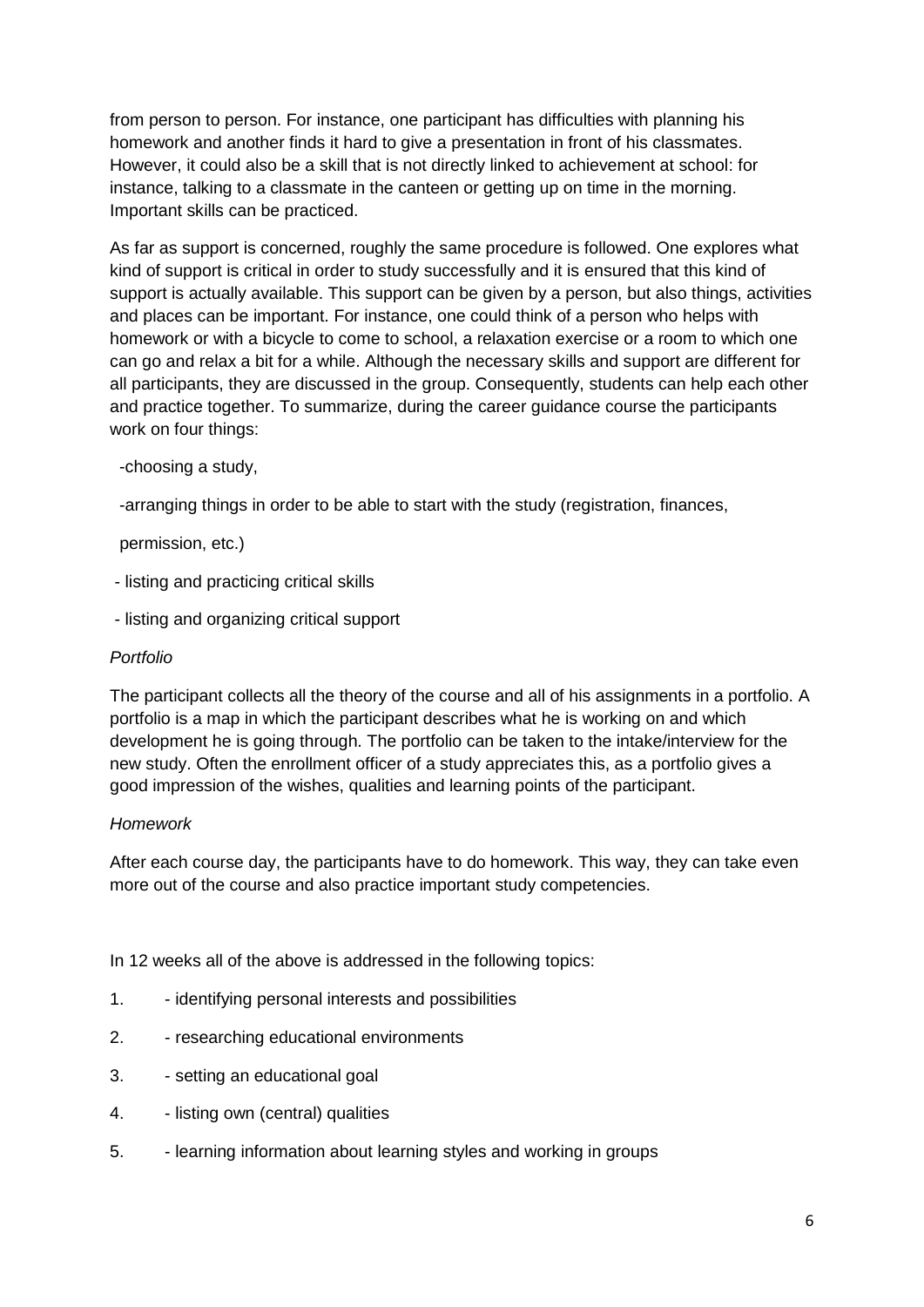from person to person. For instance, one participant has difficulties with planning his homework and another finds it hard to give a presentation in front of his classmates. However, it could also be a skill that is not directly linked to achievement at school: for instance, talking to a classmate in the canteen or getting up on time in the morning. Important skills can be practiced.

As far as support is concerned, roughly the same procedure is followed. One explores what kind of support is critical in order to study successfully and it is ensured that this kind of support is actually available. This support can be given by a person, but also things, activities and places can be important. For instance, one could think of a person who helps with homework or with a bicycle to come to school, a relaxation exercise or a room to which one can go and relax a bit for a while. Although the necessary skills and support are different for all participants, they are discussed in the group. Consequently, students can help each other and practice together. To summarize, during the career guidance course the participants work on four things:

## -choosing a study,

-arranging things in order to be able to start with the study (registration, finances,

permission, etc.)

- listing and practicing critical skills
- listing and organizing critical support

#### *Portfolio*

The participant collects all the theory of the course and all of his assignments in a portfolio. A portfolio is a map in which the participant describes what he is working on and which development he is going through. The portfolio can be taken to the intake/interview for the new study. Often the enrollment officer of a study appreciates this, as a portfolio gives a good impression of the wishes, qualities and learning points of the participant.

# *Homework*

After each course day, the participants have to do homework. This way, they can take even more out of the course and also practice important study competencies.

In 12 weeks all of the above is addressed in the following topics:

- 1. identifying personal interests and possibilities
- 2. researching educational environments
- 3. setting an educational goal
- 4. listing own (central) qualities
- 5. learning information about learning styles and working in groups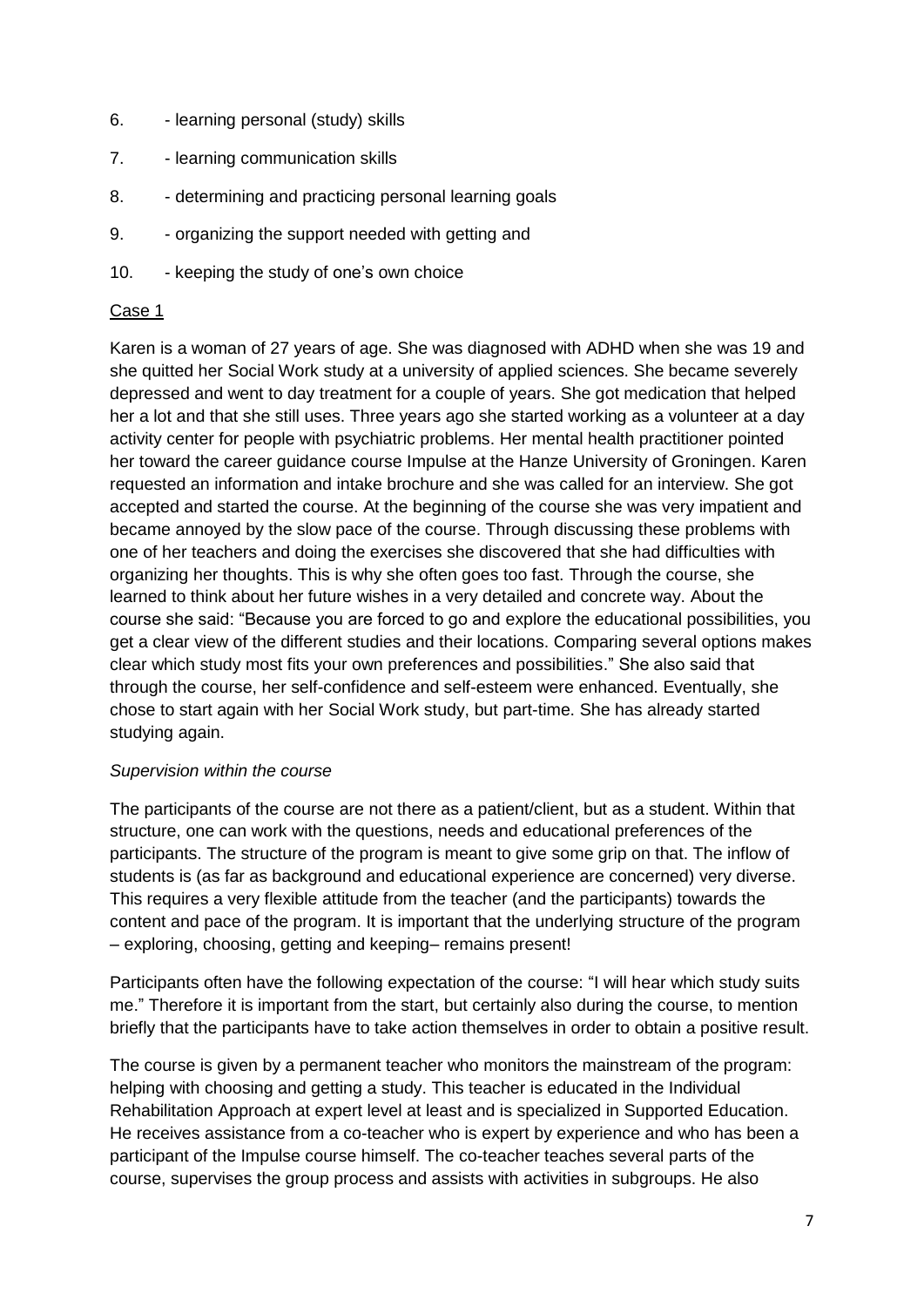- 6. learning personal (study) skills
- 7. learning communication skills
- 8. determining and practicing personal learning goals
- 9. organizing the support needed with getting and
- 10. keeping the study of one's own choice

## Case 1

Karen is a woman of 27 years of age. She was diagnosed with ADHD when she was 19 and she quitted her Social Work study at a university of applied sciences. She became severely depressed and went to day treatment for a couple of years. She got medication that helped her a lot and that she still uses. Three years ago she started working as a volunteer at a day activity center for people with psychiatric problems. Her mental health practitioner pointed her toward the career guidance course Impulse at the Hanze University of Groningen. Karen requested an information and intake brochure and she was called for an interview. She got accepted and started the course. At the beginning of the course she was very impatient and became annoyed by the slow pace of the course. Through discussing these problems with one of her teachers and doing the exercises she discovered that she had difficulties with organizing her thoughts. This is why she often goes too fast. Through the course, she learned to think about her future wishes in a very detailed and concrete way. About the course she said: "Because you are forced to go and explore the educational possibilities, you get a clear view of the different studies and their locations. Comparing several options makes clear which study most fits your own preferences and possibilities." She also said that through the course, her self-confidence and self-esteem were enhanced. Eventually, she chose to start again with her Social Work study, but part-time. She has already started studying again.

#### *Supervision within the course*

The participants of the course are not there as a patient/client, but as a student. Within that structure, one can work with the questions, needs and educational preferences of the participants. The structure of the program is meant to give some grip on that. The inflow of students is (as far as background and educational experience are concerned) very diverse. This requires a very flexible attitude from the teacher (and the participants) towards the content and pace of the program. It is important that the underlying structure of the program – exploring, choosing, getting and keeping– remains present!

Participants often have the following expectation of the course: "I will hear which study suits me." Therefore it is important from the start, but certainly also during the course, to mention briefly that the participants have to take action themselves in order to obtain a positive result.

The course is given by a permanent teacher who monitors the mainstream of the program: helping with choosing and getting a study. This teacher is educated in the Individual Rehabilitation Approach at expert level at least and is specialized in Supported Education. He receives assistance from a co-teacher who is expert by experience and who has been a participant of the Impulse course himself. The co-teacher teaches several parts of the course, supervises the group process and assists with activities in subgroups. He also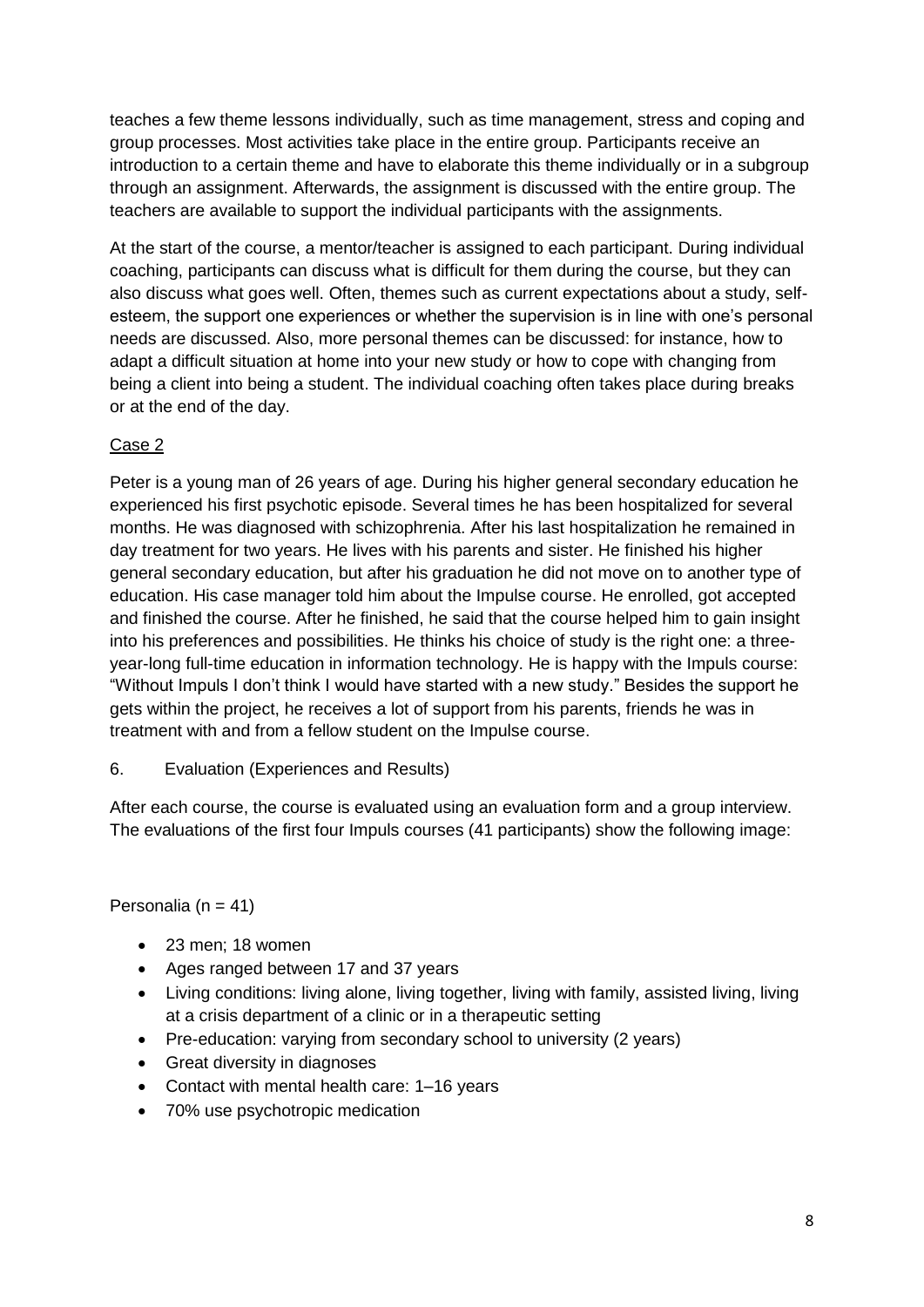teaches a few theme lessons individually, such as time management, stress and coping and group processes. Most activities take place in the entire group. Participants receive an introduction to a certain theme and have to elaborate this theme individually or in a subgroup through an assignment. Afterwards, the assignment is discussed with the entire group. The teachers are available to support the individual participants with the assignments.

At the start of the course, a mentor/teacher is assigned to each participant. During individual coaching, participants can discuss what is difficult for them during the course, but they can also discuss what goes well. Often, themes such as current expectations about a study, selfesteem, the support one experiences or whether the supervision is in line with one's personal needs are discussed. Also, more personal themes can be discussed: for instance, how to adapt a difficult situation at home into your new study or how to cope with changing from being a client into being a student. The individual coaching often takes place during breaks or at the end of the day.

# Case 2

Peter is a young man of 26 years of age. During his higher general secondary education he experienced his first psychotic episode. Several times he has been hospitalized for several months. He was diagnosed with schizophrenia. After his last hospitalization he remained in day treatment for two years. He lives with his parents and sister. He finished his higher general secondary education, but after his graduation he did not move on to another type of education. His case manager told him about the Impulse course. He enrolled, got accepted and finished the course. After he finished, he said that the course helped him to gain insight into his preferences and possibilities. He thinks his choice of study is the right one: a threeyear-long full-time education in information technology. He is happy with the Impuls course: "Without Impuls I don't think I would have started with a new study." Besides the support he gets within the project, he receives a lot of support from his parents, friends he was in treatment with and from a fellow student on the Impulse course.

6. Evaluation (Experiences and Results)

After each course, the course is evaluated using an evaluation form and a group interview. The evaluations of the first four Impuls courses (41 participants) show the following image:

Personalia ( $n = 41$ )

- 23 men; 18 women
- Ages ranged between 17 and 37 years
- Living conditions: living alone, living together, living with family, assisted living, living at a crisis department of a clinic or in a therapeutic setting
- Pre-education: varying from secondary school to university (2 years)
- Great diversity in diagnoses
- Contact with mental health care: 1–16 years
- 70% use psychotropic medication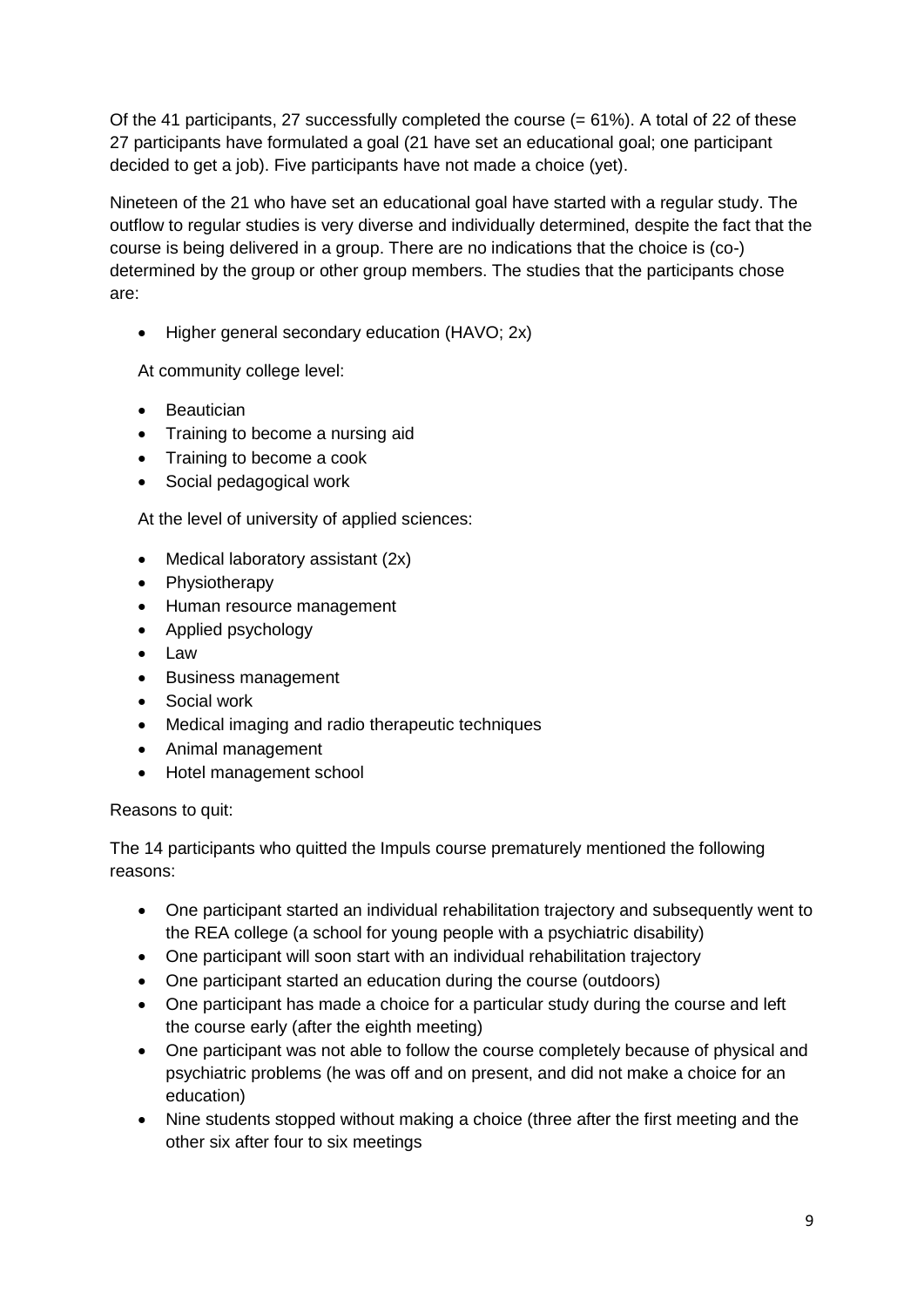Of the 41 participants, 27 successfully completed the course  $(= 61\%)$ . A total of 22 of these 27 participants have formulated a goal (21 have set an educational goal; one participant decided to get a job). Five participants have not made a choice (yet).

Nineteen of the 21 who have set an educational goal have started with a regular study. The outflow to regular studies is very diverse and individually determined, despite the fact that the course is being delivered in a group. There are no indications that the choice is (co-) determined by the group or other group members. The studies that the participants chose are:

• Higher general secondary education (HAVO; 2x)

At community college level:

- **•** Beautician
- Training to become a nursing aid
- Training to become a cook
- Social pedagogical work

At the level of university of applied sciences:

- Medical laboratory assistant (2x)
- Physiotherapy
- Human resource management
- Applied psychology
- Law
- Business management
- Social work
- Medical imaging and radio therapeutic techniques
- Animal management
- Hotel management school

#### Reasons to quit:

The 14 participants who quitted the Impuls course prematurely mentioned the following reasons:

- One participant started an individual rehabilitation trajectory and subsequently went to the REA college (a school for young people with a psychiatric disability)
- One participant will soon start with an individual rehabilitation trajectory
- One participant started an education during the course (outdoors)
- One participant has made a choice for a particular study during the course and left the course early (after the eighth meeting)
- One participant was not able to follow the course completely because of physical and psychiatric problems (he was off and on present, and did not make a choice for an education)
- Nine students stopped without making a choice (three after the first meeting and the other six after four to six meetings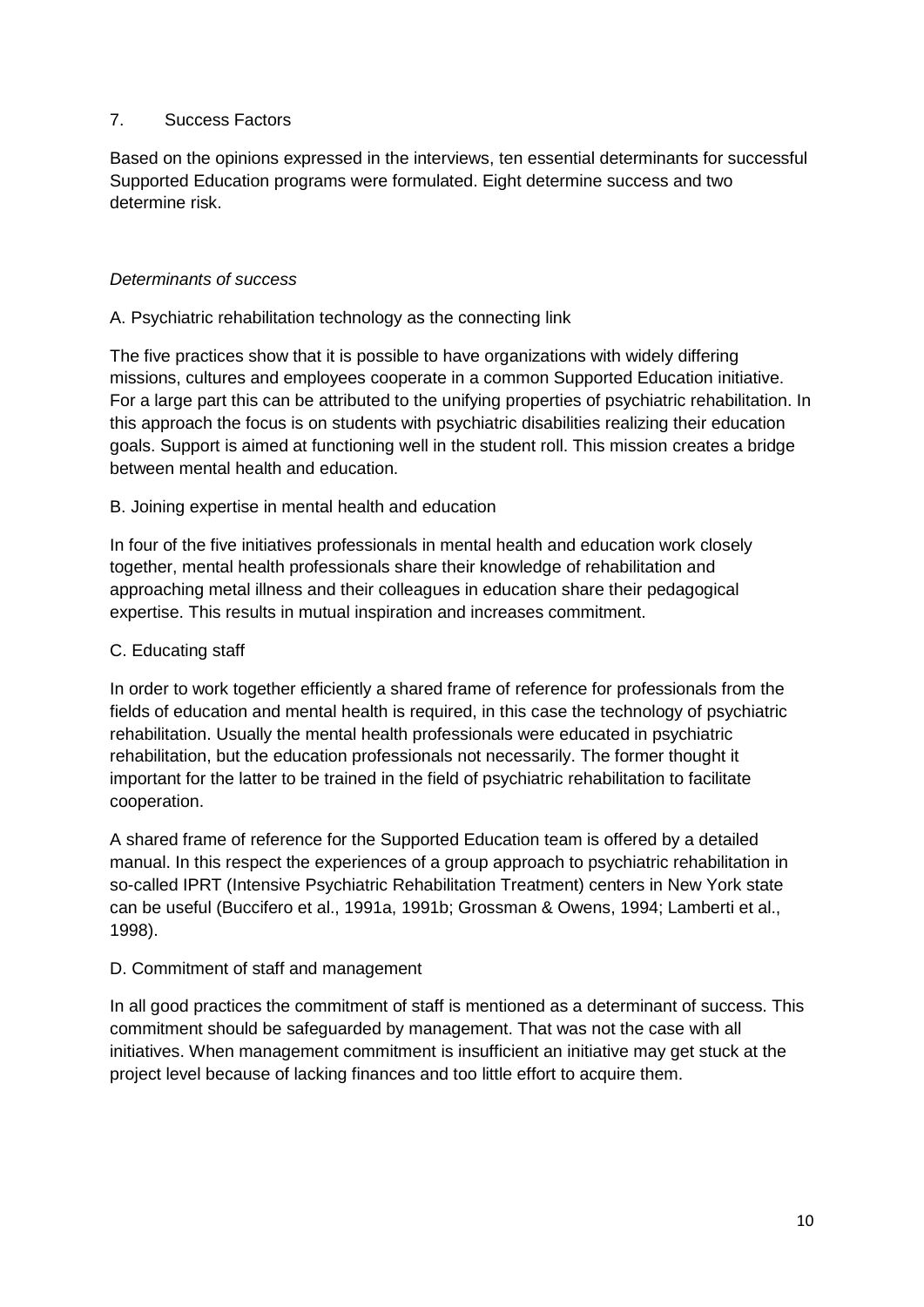## 7. Success Factors

Based on the opinions expressed in the interviews, ten essential determinants for successful Supported Education programs were formulated. Eight determine success and two determine risk.

## *Determinants of success*

## A. Psychiatric rehabilitation technology as the connecting link

The five practices show that it is possible to have organizations with widely differing missions, cultures and employees cooperate in a common Supported Education initiative. For a large part this can be attributed to the unifying properties of psychiatric rehabilitation. In this approach the focus is on students with psychiatric disabilities realizing their education goals. Support is aimed at functioning well in the student roll. This mission creates a bridge between mental health and education.

## B. Joining expertise in mental health and education

In four of the five initiatives professionals in mental health and education work closely together, mental health professionals share their knowledge of rehabilitation and approaching metal illness and their colleagues in education share their pedagogical expertise. This results in mutual inspiration and increases commitment.

## C. Educating staff

In order to work together efficiently a shared frame of reference for professionals from the fields of education and mental health is required, in this case the technology of psychiatric rehabilitation. Usually the mental health professionals were educated in psychiatric rehabilitation, but the education professionals not necessarily. The former thought it important for the latter to be trained in the field of psychiatric rehabilitation to facilitate cooperation.

A shared frame of reference for the Supported Education team is offered by a detailed manual. In this respect the experiences of a group approach to psychiatric rehabilitation in so-called IPRT (Intensive Psychiatric Rehabilitation Treatment) centers in New York state can be useful (Buccifero et al., 1991a, 1991b; Grossman & Owens, 1994; Lamberti et al., 1998).

# D. Commitment of staff and management

In all good practices the commitment of staff is mentioned as a determinant of success. This commitment should be safeguarded by management. That was not the case with all initiatives. When management commitment is insufficient an initiative may get stuck at the project level because of lacking finances and too little effort to acquire them.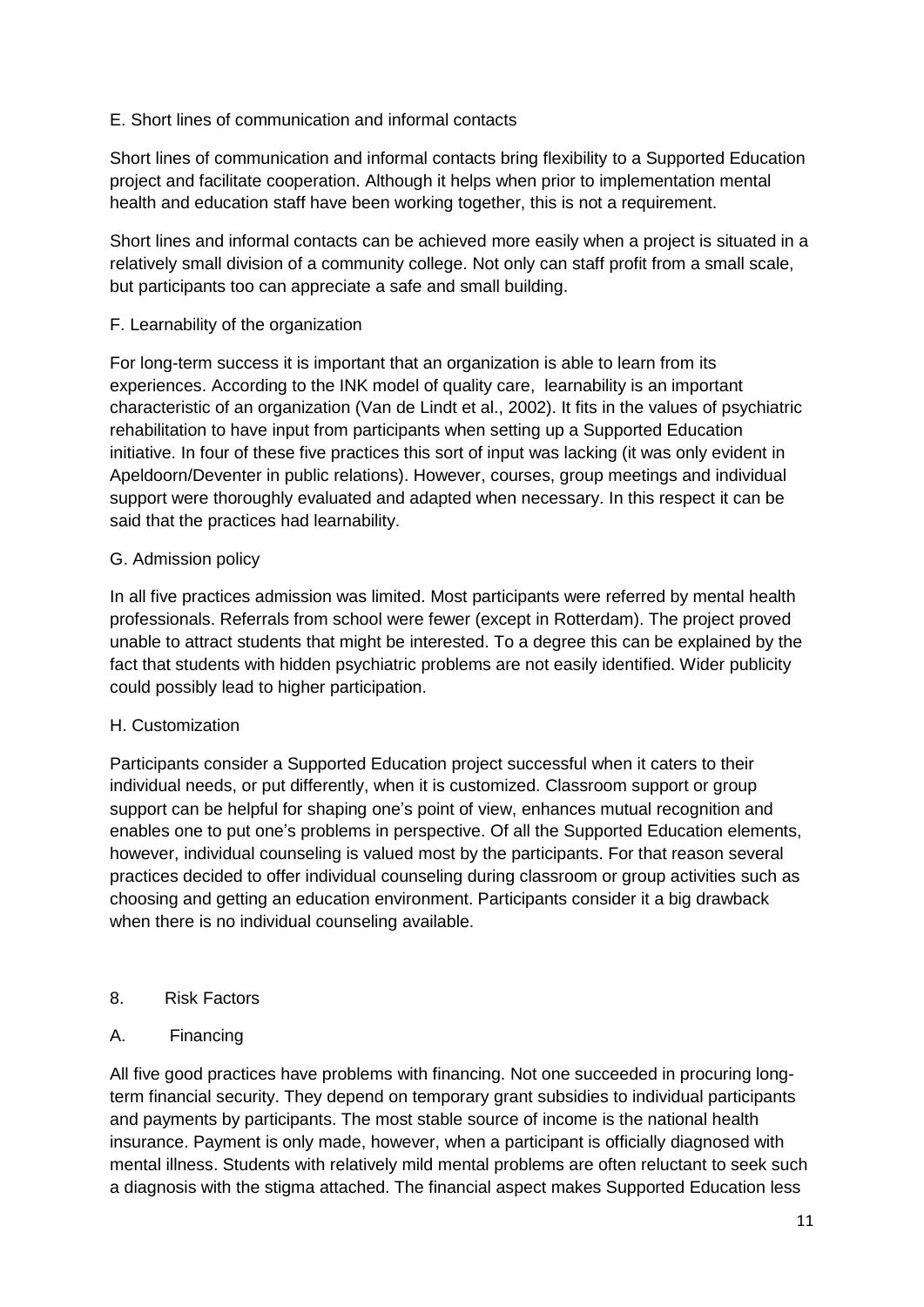# E. Short lines of communication and informal contacts

Short lines of communication and informal contacts bring flexibility to a Supported Education project and facilitate cooperation. Although it helps when prior to implementation mental health and education staff have been working together, this is not a requirement.

Short lines and informal contacts can be achieved more easily when a project is situated in a relatively small division of a community college. Not only can staff profit from a small scale, but participants too can appreciate a safe and small building.

# F. Learnability of the organization

For long-term success it is important that an organization is able to learn from its experiences. According to the INK model of quality care, learnability is an important characteristic of an organization (Van de Lindt et al., 2002). It fits in the values of psychiatric rehabilitation to have input from participants when setting up a Supported Education initiative. In four of these five practices this sort of input was lacking (it was only evident in Apeldoorn/Deventer in public relations). However, courses, group meetings and individual support were thoroughly evaluated and adapted when necessary. In this respect it can be said that the practices had learnability.

# G. Admission policy

In all five practices admission was limited. Most participants were referred by mental health professionals. Referrals from school were fewer (except in Rotterdam). The project proved unable to attract students that might be interested. To a degree this can be explained by the fact that students with hidden psychiatric problems are not easily identified. Wider publicity could possibly lead to higher participation.

# H. Customization

Participants consider a Supported Education project successful when it caters to their individual needs, or put differently, when it is customized. Classroom support or group support can be helpful for shaping one's point of view, enhances mutual recognition and enables one to put one's problems in perspective. Of all the Supported Education elements, however, individual counseling is valued most by the participants. For that reason several practices decided to offer individual counseling during classroom or group activities such as choosing and getting an education environment. Participants consider it a big drawback when there is no individual counseling available.

# 8. Risk Factors

# A. Financing

All five good practices have problems with financing. Not one succeeded in procuring longterm financial security. They depend on temporary grant subsidies to individual participants and payments by participants. The most stable source of income is the national health insurance. Payment is only made, however, when a participant is officially diagnosed with mental illness. Students with relatively mild mental problems are often reluctant to seek such a diagnosis with the stigma attached. The financial aspect makes Supported Education less